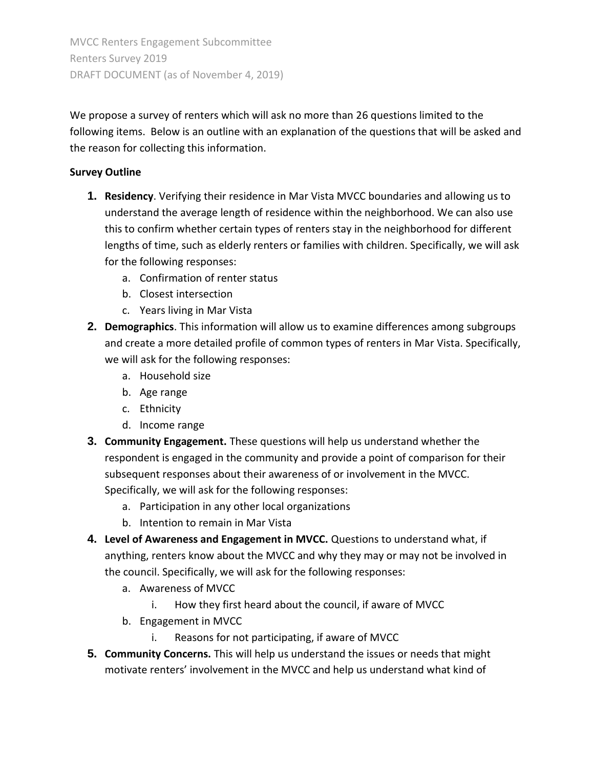We propose a survey of renters which will ask no more than 26 questions limited to the following items. Below is an outline with an explanation of the questions that will be asked and the reason for collecting this information.

## **Survey Outline**

- **1. Residency**. Verifying their residence in Mar Vista MVCC boundaries and allowing us to understand the average length of residence within the neighborhood. We can also use this to confirm whether certain types of renters stay in the neighborhood for different lengths of time, such as elderly renters or families with children. Specifically, we will ask for the following responses:
	- a. Confirmation of renter status
	- b. Closest intersection
	- c. Years living in Mar Vista
- **2. Demographics**. This information will allow us to examine differences among subgroups and create a more detailed profile of common types of renters in Mar Vista. Specifically, we will ask for the following responses:
	- a. Household size
	- b. Age range
	- c. Ethnicity
	- d. Income range
- **3. Community Engagement.** These questions will help us understand whether the respondent is engaged in the community and provide a point of comparison for their subsequent responses about their awareness of or involvement in the MVCC. Specifically, we will ask for the following responses:
	- a. Participation in any other local organizations
	- b. Intention to remain in Mar Vista
- **4. Level of Awareness and Engagement in MVCC.** Questions to understand what, if anything, renters know about the MVCC and why they may or may not be involved in the council. Specifically, we will ask for the following responses:
	- a. Awareness of MVCC
		- i. How they first heard about the council, if aware of MVCC
	- b. Engagement in MVCC
		- i. Reasons for not participating, if aware of MVCC
- **5. Community Concerns.** This will help us understand the issues or needs that might motivate renters' involvement in the MVCC and help us understand what kind of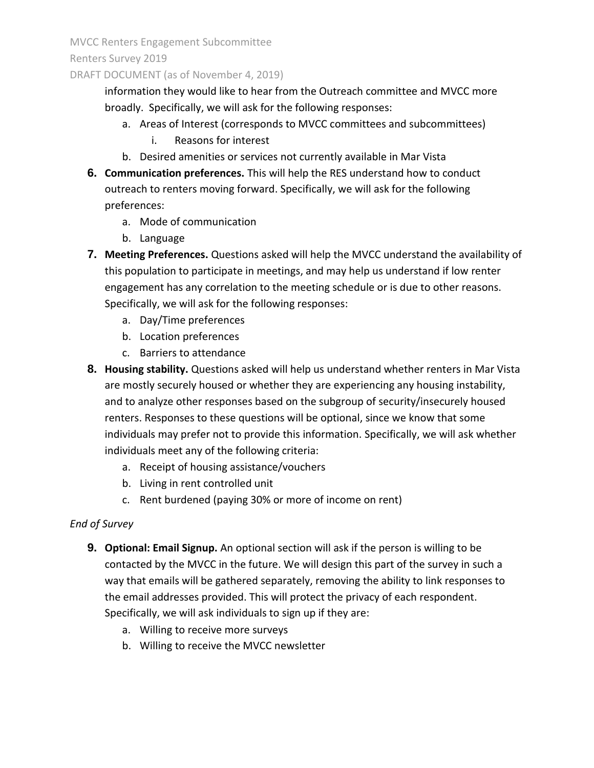MVCC Renters Engagement Subcommittee

Renters Survey 2019

### DRAFT DOCUMENT (as of November 4, 2019)

information they would like to hear from the Outreach committee and MVCC more broadly. Specifically, we will ask for the following responses:

- a. Areas of Interest (corresponds to MVCC committees and subcommittees)
	- i. Reasons for interest
- b. Desired amenities or services not currently available in Mar Vista
- **6. Communication preferences.** This will help the RES understand how to conduct outreach to renters moving forward. Specifically, we will ask for the following preferences:
	- a. Mode of communication
	- b. Language
- **7. Meeting Preferences.** Questions asked will help the MVCC understand the availability of this population to participate in meetings, and may help us understand if low renter engagement has any correlation to the meeting schedule or is due to other reasons. Specifically, we will ask for the following responses:
	- a. Day/Time preferences
	- b. Location preferences
	- c. Barriers to attendance
- **8. Housing stability.** Questions asked will help us understand whether renters in Mar Vista are mostly securely housed or whether they are experiencing any housing instability, and to analyze other responses based on the subgroup of security/insecurely housed renters. Responses to these questions will be optional, since we know that some individuals may prefer not to provide this information. Specifically, we will ask whether individuals meet any of the following criteria:
	- a. Receipt of housing assistance/vouchers
	- b. Living in rent controlled unit
	- c. Rent burdened (paying 30% or more of income on rent)

## *End of Survey*

- **9. Optional: Email Signup.** An optional section will ask if the person is willing to be contacted by the MVCC in the future. We will design this part of the survey in such a way that emails will be gathered separately, removing the ability to link responses to the email addresses provided. This will protect the privacy of each respondent. Specifically, we will ask individuals to sign up if they are:
	- a. Willing to receive more surveys
	- b. Willing to receive the MVCC newsletter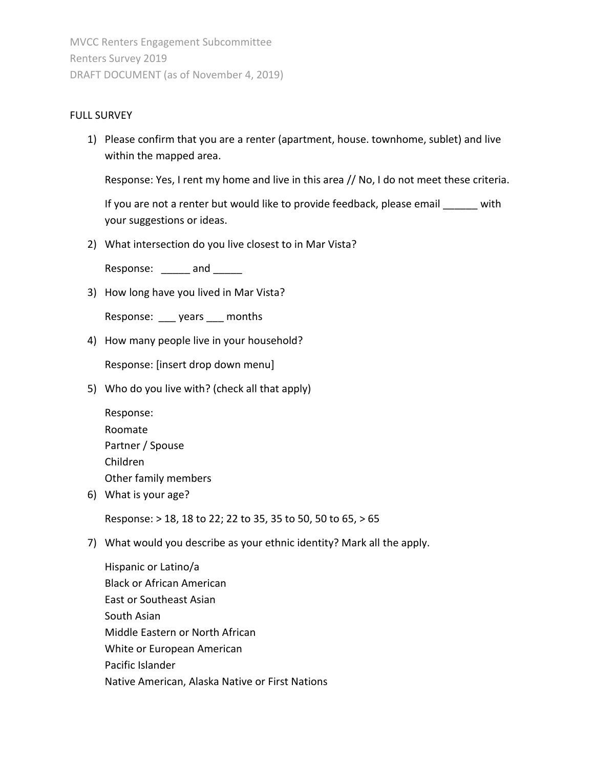#### FULL SURVEY

1) Please confirm that you are a renter (apartment, house. townhome, sublet) and live within the mapped area.

Response: Yes, I rent my home and live in this area // No, I do not meet these criteria.

If you are not a renter but would like to provide feedback, please email with your suggestions or ideas.

2) What intersection do you live closest to in Mar Vista?

Response: \_\_\_\_\_ and \_\_\_\_\_

3) How long have you lived in Mar Vista?

Response: \_\_\_ years \_\_\_ months

4) How many people live in your household?

Response: [insert drop down menu]

5) Who do you live with? (check all that apply)

| Response:            |
|----------------------|
| Roomate              |
| Partner / Spouse     |
| Children             |
| Other family members |

6) What is your age?

Response: > 18, 18 to 22; 22 to 35, 35 to 50, 50 to 65, > 65

7) What would you describe as your ethnic identity? Mark all the apply.

Hispanic or Latino/a Black or African American East or Southeast Asian South Asian Middle Eastern or North African White or European American Pacific Islander Native American, Alaska Native or First Nations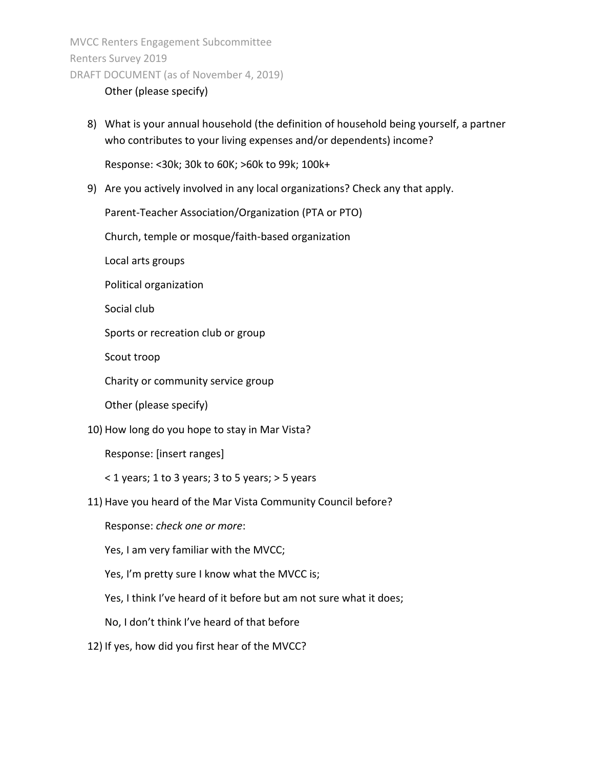#### Other (please specify)

8) What is your annual household (the definition of household being yourself, a partner who contributes to your living expenses and/or dependents) income?

Response: <30k; 30k to 60K; >60k to 99k; 100k+

9) Are you actively involved in any local organizations? Check any that apply.

Parent-Teacher Association/Organization (PTA or PTO)

Church, temple or mosque/faith-based organization

Local arts groups

Political organization

Social club

Sports or recreation club or group

Scout troop

Charity or community service group

Other (please specify)

10) How long do you hope to stay in Mar Vista?

Response: [insert ranges]

< 1 years; 1 to 3 years; 3 to 5 years; > 5 years

11) Have you heard of the Mar Vista Community Council before?

Response: *check one or more*:

Yes, I am very familiar with the MVCC;

Yes, I'm pretty sure I know what the MVCC is;

Yes, I think I've heard of it before but am not sure what it does;

No, I don't think I've heard of that before

12) If yes, how did you first hear of the MVCC?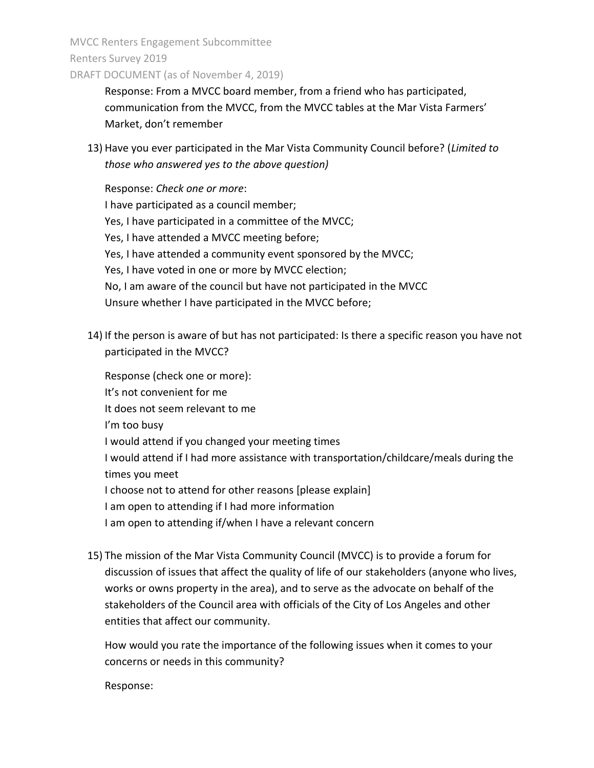MVCC Renters Engagement Subcommittee Renters Survey 2019

DRAFT DOCUMENT (as of November 4, 2019)

Response: From a MVCC board member, from a friend who has participated, communication from the MVCC, from the MVCC tables at the Mar Vista Farmers' Market, don't remember

13) Have you ever participated in the Mar Vista Community Council before? (*Limited to those who answered yes to the above question)*

Response: *Check one or more*: I have participated as a council member; Yes, I have participated in a committee of the MVCC; Yes, I have attended a MVCC meeting before; Yes, I have attended a community event sponsored by the MVCC; Yes, I have voted in one or more by MVCC election; No, I am aware of the council but have not participated in the MVCC Unsure whether I have participated in the MVCC before;

14) If the person is aware of but has not participated: Is there a specific reason you have not participated in the MVCC?

Response (check one or more): It's not convenient for me It does not seem relevant to me I'm too busy I would attend if you changed your meeting times I would attend if I had more assistance with transportation/childcare/meals during the times you meet I choose not to attend for other reasons [please explain] I am open to attending if I had more information I am open to attending if/when I have a relevant concern

15) The mission of the Mar Vista Community Council (MVCC) is to provide a forum for discussion of issues that affect the quality of life of our stakeholders (anyone who lives, works or owns property in the area), and to serve as the advocate on behalf of the stakeholders of the Council area with officials of the City of Los Angeles and other entities that affect our community.

How would you rate the importance of the following issues when it comes to your concerns or needs in this community?

Response: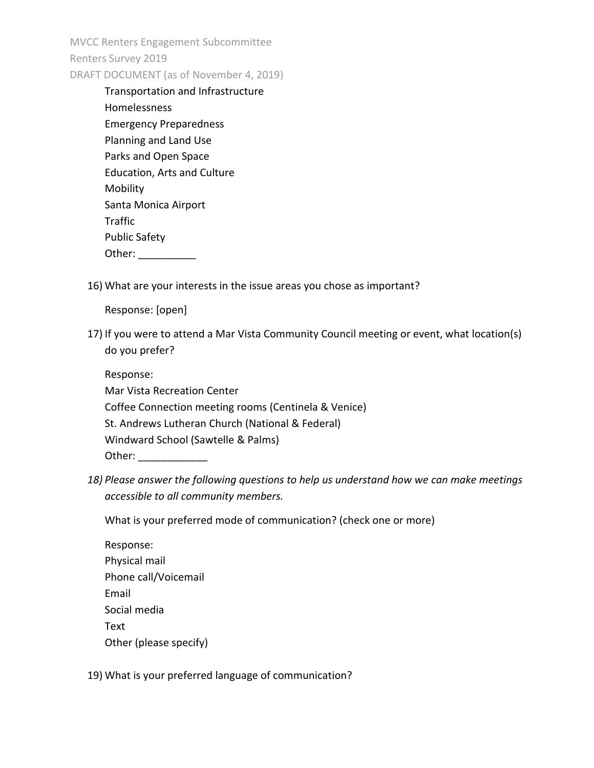| Transportation and Infrastructure  |
|------------------------------------|
| Homelessness                       |
| <b>Emergency Preparedness</b>      |
| Planning and Land Use              |
| Parks and Open Space               |
| <b>Education, Arts and Culture</b> |
| Mobility                           |
| Santa Monica Airport               |
| <b>Traffic</b>                     |
| <b>Public Safety</b>               |
| Other:                             |
|                                    |

16) What are your interests in the issue areas you chose as important?

Response: [open]

17) If you were to attend a Mar Vista Community Council meeting or event, what location(s) do you prefer?

Response: Mar Vista Recreation Center Coffee Connection meeting rooms (Centinela & Venice) St. Andrews Lutheran Church (National & Federal) Windward School (Sawtelle & Palms) Other:  $\blacksquare$ 

*18) Please answer the following questions to help us understand how we can make meetings accessible to all community members.* 

What is your preferred mode of communication? (check one or more)

19) What is your preferred language of communication?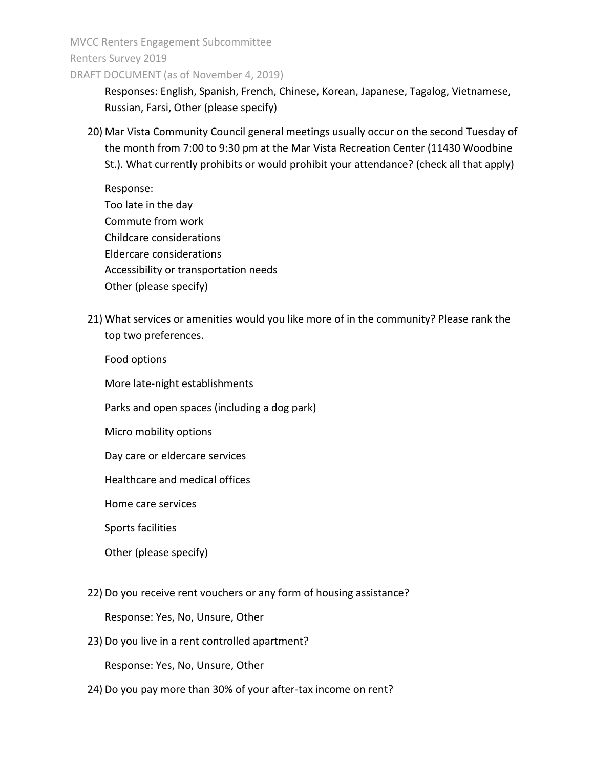MVCC Renters Engagement Subcommittee Renters Survey 2019

DRAFT DOCUMENT (as of November 4, 2019)

Responses: English, Spanish, French, Chinese, Korean, Japanese, Tagalog, Vietnamese, Russian, Farsi, Other (please specify)

20) Mar Vista Community Council general meetings usually occur on the second Tuesday of the month from 7:00 to 9:30 pm at the Mar Vista Recreation Center (11430 Woodbine St.). What currently prohibits or would prohibit your attendance? (check all that apply)

Response: Too late in the day Commute from work Childcare considerations Eldercare considerations Accessibility or transportation needs Other (please specify)

21) What services or amenities would you like more of in the community? Please rank the top two preferences.

Food options

More late-night establishments

Parks and open spaces (including a dog park)

Micro mobility options

Day care or eldercare services

Healthcare and medical offices

Home care services

Sports facilities

Other (please specify)

22) Do you receive rent vouchers or any form of housing assistance?

Response: Yes, No, Unsure, Other

23) Do you live in a rent controlled apartment?

Response: Yes, No, Unsure, Other

24) Do you pay more than 30% of your after-tax income on rent?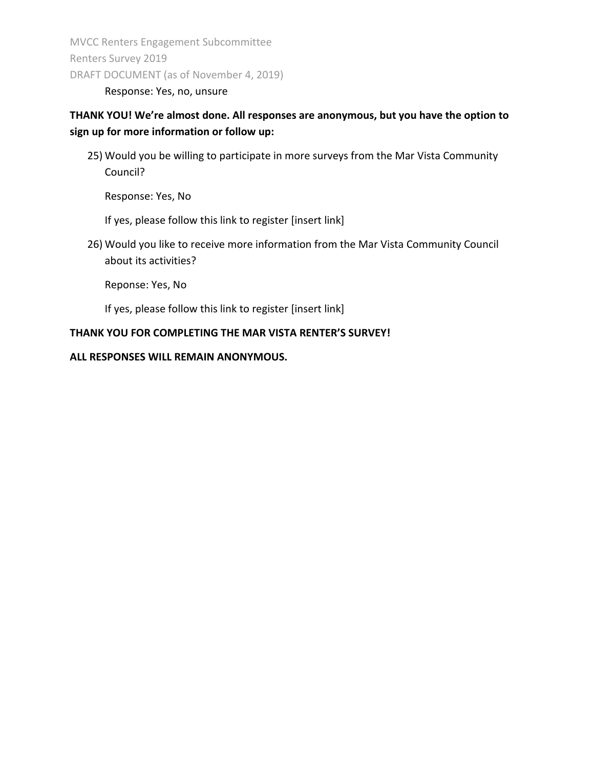Response: Yes, no, unsure

# **THANK YOU! We're almost done. All responses are anonymous, but you have the option to sign up for more information or follow up:**

25) Would you be willing to participate in more surveys from the Mar Vista Community Council?

Response: Yes, No

If yes, please follow this link to register [insert link]

26) Would you like to receive more information from the Mar Vista Community Council about its activities?

Reponse: Yes, No

If yes, please follow this link to register [insert link]

#### **THANK YOU FOR COMPLETING THE MAR VISTA RENTER'S SURVEY!**

#### **ALL RESPONSES WILL REMAIN ANONYMOUS.**